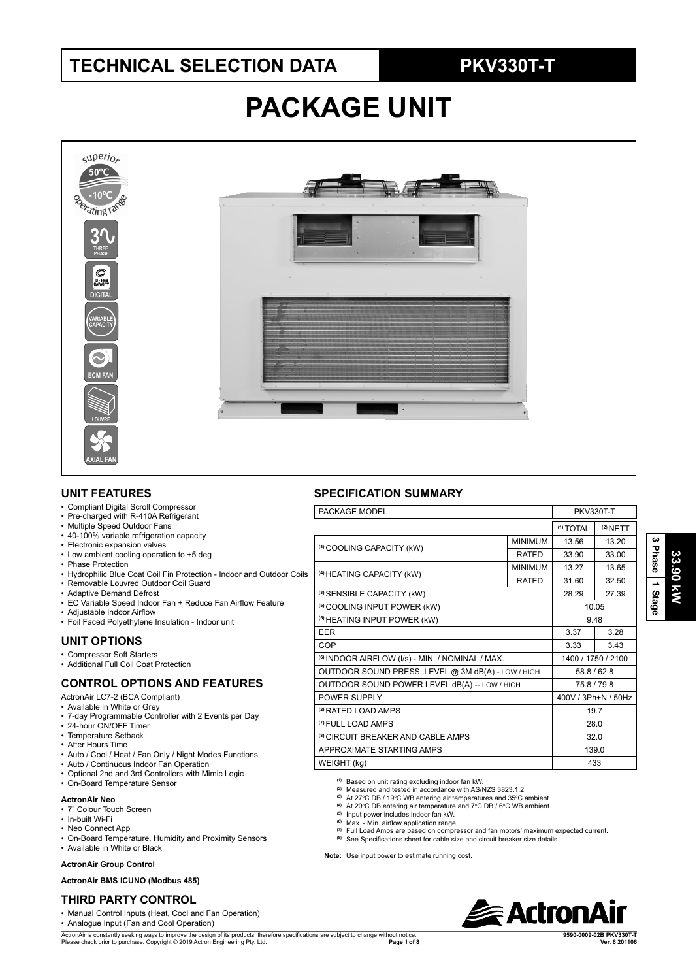# **TECHNICAL SELECTION DATA PKV330T-T**

# **PACKAGE UNIT**



### **UNIT FEATURES**

- Compliant Digital Scroll Compressor
- Pre-charged with R-410A Refrigerant
- Multiple Speed Outdoor Fans
- 40-100% variable refrigeration capacity
- Electronic expansion valves • Low ambient cooling operation to +5 deg
- Phase Protection
- Hydrophilic Blue Coat Coil Fin Protection Indoor and Outdoor Coils
- Removable Louvred Outdoor Coil Guard
- Adaptive Demand Defrost
- EC Variable Speed Indoor Fan + Reduce Fan Airflow Feature
- Adjustable Indoor Airflow
- Foil Faced Polyethylene Insulation Indoor unit

## **UNIT OPTIONS**

- Compressor Soft Starters
- Additional Full Coil Coat Protection

### **CONTROL OPTIONS AND FEATURES**

ActronAir LC7-2 (BCA Compliant)

- Available in White or Grey
- 7-day Programmable Controller with 2 Events per Day
- 24-hour ON/OFF Timer • Temperature Setback
- After Hours Time
- Auto / Cool / Heat / Fan Only / Night Modes Functions
- Auto / Continuous Indoor Fan Operation
- Optional 2nd and 3rd Controllers with Mimic Logic
- On-Board Temperature Sensor

### **ActronAir Neo**

- 7" Colour Touch Screen
- In-built Wi-Fi
- Neo Connect App
- On-Board Temperature, Humidity and Proximity Sensors
- Available in White or Black

### **ActronAir Group Control**

**ActronAir BMS ICUNO (Modbus 485)**

## **THIRD PARTY CONTROL**

• Manual Control Inputs (Heat, Cool and Fan Operation)

• Analogue Input (Fan and Cool Operation)

ActronAir is constantly seeking ways to improve the design of its products, therefore specifications are subject to change without notice. Please check prior to purchase. Copyright © 2019 Actron Engineering Pty. Ltd.  $Page 1 of 8$ 

| <b>SPECIFICATION SUMMARY</b> |  |
|------------------------------|--|
|------------------------------|--|

| PACKAGE MODEL                                               |                | <b>PKV330T-T</b>     |                     |  |
|-------------------------------------------------------------|----------------|----------------------|---------------------|--|
|                                                             |                | <sup>(1)</sup> TOTAL | $(2)$ NETT          |  |
| (3) COOLING CAPACITY (kW)                                   | <b>MINIMUM</b> | 13.56                | 13.20               |  |
|                                                             | <b>RATED</b>   | 33.90                | 33.00               |  |
| (4) HEATING CAPACITY (kW)                                   | <b>MINIMUM</b> | 13.27                | 13.65               |  |
|                                                             | <b>RATED</b>   | 31.60                | 32.50               |  |
| (3) SENSIBLE CAPACITY (kW)                                  |                | 28.29                | 27.39               |  |
| <sup>(5)</sup> COOLING INPUT POWER (kW)                     |                |                      | 10.05               |  |
| <sup>(5)</sup> HEATING INPUT POWER (kW)                     |                | 9.48                 |                     |  |
| <b>EER</b>                                                  |                | 3.37                 | 3.28                |  |
| COP                                                         |                | 3.33                 | 3.43                |  |
| <sup>(6)</sup> INDOOR AIRFLOW (I/s) - MIN. / NOMINAL / MAX. |                |                      | 1400 / 1750 / 2100  |  |
| OUTDOOR SOUND PRESS. LEVEL @ 3M dB(A) - LOW / HIGH          |                | 58.8/62.8            |                     |  |
| OUTDOOR SOUND POWER LEVEL dB(A) -- LOW / HIGH               |                |                      | 75.8/79.8           |  |
| POWER SUPPLY                                                |                |                      | 400V / 3Ph+N / 50Hz |  |
| <sup>(2)</sup> RATED LOAD AMPS                              |                |                      | 19.7                |  |
| <sup>(7)</sup> FULL LOAD AMPS                               |                | 28.0                 |                     |  |
| <sup>(8)</sup> CIRCUIT BREAKER AND CABLE AMPS               |                | 32.0                 |                     |  |
| APPROXIMATE STARTING AMPS                                   |                | 139.0                |                     |  |
| WEIGHT (kg)                                                 |                |                      | 433                 |  |

**(1)** Based on unit rating excluding indoor fan kW.

- <sup>(2)</sup> Measured and tested in accordance with AS/NZS 3823.1.2.<br><sup>(3)</sup> At 27°C DB / 19°C WB entering air temperatures and 35°C ambient.
- 
- <sup>(4)</sup> At 20°C DB entering air temperature and 7°C DB / 6°C WB ambient.<br><sup>(5)</sup> Input power includes indoor fan kW.

**(6)** Max. - Min. airflow application range.

- 
- <sup>(7)</sup> Full Load Amps are based on compressor and fan motors' maximum expected current.<br><sup>(8)</sup> See Specifications sheet for cable size and circuit breaker size details.

**Note:** Use input power to estimate running cost.



 $\overline{\omega}$ 

**9590-0009-02B PKV330T-T**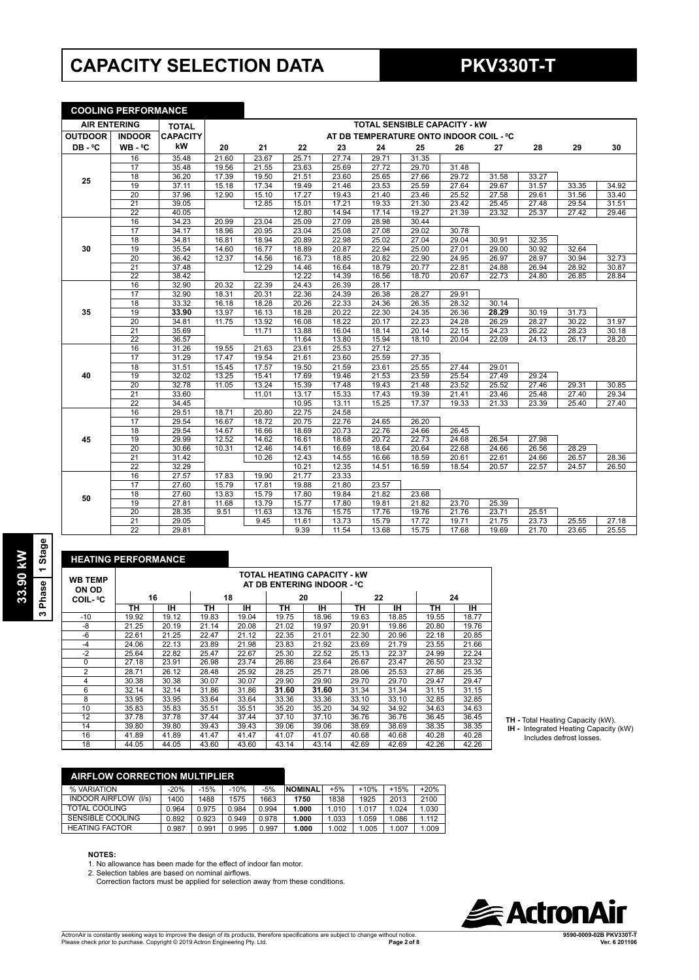# **CAPACITY SELECTION DATA PKV330T-T**

## **COOLING PERFORMANCE**

| <b>AIR ENTERING</b> |                 | <b>TOTAL</b>    |       | <b>TOTAL SENSIBLE CAPACITY - KW</b> |       |       |                                         |       |       |       |       |       |       |
|---------------------|-----------------|-----------------|-------|-------------------------------------|-------|-------|-----------------------------------------|-------|-------|-------|-------|-------|-------|
| <b>OUTDOOR</b>      | <b>INDOOR</b>   | <b>CAPACITY</b> |       |                                     |       |       | AT DB TEMPERATURE ONTO INDOOR COIL - °C |       |       |       |       |       |       |
| DB-°C               | $WB - °C$       | kW              | 20    | 21                                  | 22    | 23    | 24                                      | 25    | 26    | 27    | 28    | 29    | 30    |
|                     | 16              | 35.48           | 21.60 | 23.67                               | 25.71 | 27.74 | 29.71                                   | 31.35 |       |       |       |       |       |
|                     | 17              | 35.48           | 19.56 | 21.55                               | 23.63 | 25.69 | 27.72                                   | 29.70 | 31.48 |       |       |       |       |
| 25                  | 18              | 36.20           | 17.39 | 19.50                               | 21.51 | 23.60 | 25.65                                   | 27.66 | 29.72 | 31.58 | 33.27 |       |       |
|                     | 19              | 37.11           | 15.18 | 17.34                               | 19.49 | 21.46 | 23.53                                   | 25.59 | 27.64 | 29.67 | 31.57 | 33.35 | 34.92 |
|                     | $\overline{20}$ | 37.96           | 12.90 | 15.10                               | 17.27 | 19.43 | 21.40                                   | 23.46 | 25.52 | 27.58 | 29.61 | 31.56 | 33.40 |
|                     | 21              | 39.05           |       | 12.85                               | 15.01 | 17.21 | 19.33                                   | 21.30 | 23.42 | 25.45 | 27.48 | 29.54 | 31.51 |
|                     | $\overline{22}$ | 40.05           |       |                                     | 12.80 | 14.94 | 17.14                                   | 19.27 | 21.39 | 23.32 | 25.37 | 27.42 | 29.46 |
|                     | 16              | 34.23           | 20.99 | 23.04                               | 25.09 | 27.09 | 28.98                                   | 30.44 |       |       |       |       |       |
|                     | 17              | 34.17           | 18.96 | 20.95                               | 23.04 | 25.08 | 27.08                                   | 29.02 | 30.78 |       |       |       |       |
|                     | $\overline{18}$ | 34.81           | 16.81 | 18.94                               | 20.89 | 22.98 | 25.02                                   | 27.04 | 29.04 | 30.91 | 32.35 |       |       |
| 30                  | 19              | 35.54           | 14.60 | 16.77                               | 18.89 | 20.87 | 22.94                                   | 25.00 | 27.01 | 29.00 | 30.92 | 32.64 |       |
|                     | 20              | 36.42           | 12.37 | 14.56                               | 16.73 | 18.85 | 20.82                                   | 22.90 | 24.95 | 26.97 | 28.97 | 30.94 | 32.73 |
|                     | 21              | 37.48           |       | 12.29                               | 14.46 | 16.64 | 18.79                                   | 20.77 | 22.81 | 24.88 | 26.94 | 28.92 | 30.87 |
|                     | $\overline{22}$ | 38.42           |       |                                     | 12.22 | 14.39 | 16.56                                   | 18.70 | 20.67 | 22.73 | 24.80 | 26.85 | 28.84 |
|                     | 16              | 32.90           | 20.32 | 22.39                               | 24.43 | 26.39 | 28.17                                   |       |       |       |       |       |       |
|                     | 17              | 32.90           | 18.31 | 20.31                               | 22.36 | 24.39 | 26.38                                   | 28.27 | 29.91 |       |       |       |       |
|                     | 18              | 33.32           | 16.18 | 18.28                               | 20.26 | 22.33 | 24.36                                   | 26.35 | 28.32 | 30.14 |       |       |       |
| 35                  | 19              | 33.90           | 13.97 | 16.13                               | 18.28 | 20.22 | 22.30                                   | 24.35 | 26.36 | 28.29 | 30.19 | 31.73 |       |
|                     | 20              | 34.81           | 11.75 | 13.92                               | 16.08 | 18.22 | 20.17                                   | 22.23 | 24.28 | 26.29 | 28.27 | 30.22 | 31.97 |
|                     | $\overline{21}$ | 35.69           |       | 11.71                               | 13.88 | 16.04 | 18.14                                   | 20.14 | 22.15 | 24.23 | 26.22 | 28.23 | 30.18 |
|                     | $\overline{22}$ | 36.57           |       |                                     | 11.64 | 13.80 | 15.94                                   | 18.10 | 20.04 | 22.09 | 24.13 | 26.17 | 28.20 |
|                     | 16              | 31.26           | 19.55 | 21.63                               | 23.61 | 25.53 | 27.12                                   |       |       |       |       |       |       |
|                     | 17              | 31.29           | 17.47 | 19.54                               | 21.61 | 23.60 | 25.59                                   | 27.35 |       |       |       |       |       |
|                     | 18              | 31.51           | 15.45 | 17.57                               | 19.50 | 21.59 | 23.61                                   | 25.55 | 27.44 | 29.01 |       |       |       |
| 40                  | 19              | 32.02           | 13.25 | 15.41                               | 17.69 | 19.46 | 21.53                                   | 23.59 | 25.54 | 27.49 | 29.24 |       |       |
|                     | 20              | 32.78           | 11.05 | 13.24                               | 15.39 | 17.48 | 19.43                                   | 21.48 | 23.52 | 25.52 | 27.46 | 29.31 | 30.85 |
|                     | 21              | 33.60           |       | 11.01                               | 13.17 | 15.33 | 17.43                                   | 19.39 | 21.41 | 23.46 | 25.48 | 27.40 | 29.34 |
|                     | 22              | 34.45           |       |                                     | 10.95 | 13.11 | 15.25                                   | 17.37 | 19.33 | 21.33 | 23.39 | 25.40 | 27.40 |
|                     | 16              | 29.51           | 18.71 | 20.80                               | 22.75 | 24.58 |                                         |       |       |       |       |       |       |
|                     | 17              | 29.54           | 16.67 | 18.72                               | 20.75 | 22.76 | 24.65                                   | 26.20 |       |       |       |       |       |
|                     | 18              | 29.54           | 14.67 | 16.66                               | 18.69 | 20.73 | 22.76                                   | 24.66 | 26.45 |       |       |       |       |
| 45                  | 19              | 29.99           | 12.52 | 14.62                               | 16.61 | 18.68 | 20.72                                   | 22.73 | 24.68 | 26.54 | 27.98 |       |       |
|                     | $\overline{20}$ | 30.66           | 10.31 | 12.46                               | 14.61 | 16.69 | 18.64                                   | 20.64 | 22.68 | 24.66 | 26.56 | 28.29 |       |
|                     | 21              | 31.42           |       | 10.26                               | 12.43 | 14.55 | 16.66                                   | 18.59 | 20.61 | 22.61 | 24.66 | 26.57 | 28.36 |
|                     | $\overline{22}$ | 32.29           |       |                                     | 10.21 | 12.35 | 14.51                                   | 16.59 | 18.54 | 20.57 | 22.57 | 24.57 | 26.50 |
|                     | 16              | 27.57           | 17.83 | 19.90                               | 21.77 | 23.33 |                                         |       |       |       |       |       |       |
|                     | 17              | 27.60           | 15.79 | 17.81                               | 19.88 | 21.80 | 23.57                                   |       |       |       |       |       |       |
| 50                  | $\overline{18}$ | 27.60           | 13.83 | 15.79                               | 17.80 | 19.84 | 21.82                                   | 23.68 |       |       |       |       |       |
|                     | 19              | 27.81           | 11.68 | 13.79                               | 15.77 | 17.80 | 19.81                                   | 21.82 | 23.70 | 25.39 |       |       |       |
|                     | $\overline{20}$ | 28.35           | 9.51  | 11.63                               | 13.76 | 15.75 | 17.76                                   | 19.76 | 21.76 | 23.71 | 25.51 |       |       |
|                     | 21              | 29.05           |       | 9.45                                | 11.61 | 13.73 | 15.79                                   | 17.72 | 19.71 | 21.75 | 23.73 | 25.55 | 27.18 |
|                     | 22              | 29.81           |       |                                     | 9.39  | 11.54 | 13.68                                   | 15.75 | 17.68 | 19.69 | 21.70 | 23.65 | 25.55 |

| <b>HEATING PERFORMANCE</b> |       |           |       |           |       |                                                                  |       |           |       |       |  |
|----------------------------|-------|-----------|-------|-----------|-------|------------------------------------------------------------------|-------|-----------|-------|-------|--|
| <b>WB TEMP</b><br>ON OD    |       |           |       |           |       | <b>TOTAL HEATING CAPACITY - kW</b><br>AT DB ENTERING INDOOR - ºC |       |           |       |       |  |
| COIL- °C                   |       | 16        |       | 18        | 20    |                                                                  |       | 22        | 24    |       |  |
|                            | ΤН    | <b>IH</b> | ΤН    | <b>IH</b> | TН    | <b>IH</b>                                                        | ΤН    | <b>IH</b> | TН    | IH.   |  |
| $-10$                      | 19.92 | 19.12     | 19.83 | 19.04     | 19.75 | 18.96                                                            | 19.63 | 18.85     | 19.55 | 18.77 |  |
| -8                         | 21.25 | 20.19     | 21.14 | 20.08     | 21.02 | 19.97                                                            | 20.91 | 19.86     | 20.80 | 19.76 |  |
| $-6$                       | 22.61 | 21.25     | 22.47 | 21.12     | 22.35 | 21.01                                                            | 22.30 | 20.96     | 22.18 | 20.85 |  |
| $-4$                       | 24.06 | 22.13     | 23.89 | 21.98     | 23.83 | 21.92                                                            | 23.69 | 21.79     | 23.55 | 21.66 |  |
| $-2$                       | 25.64 | 22.82     | 25.47 | 22.67     | 25.30 | 22.52                                                            | 25.13 | 22.37     | 24.99 | 22.24 |  |
| $\Omega$                   | 27.18 | 23.91     | 26.98 | 23.74     | 26.86 | 23.64                                                            | 26.67 | 23.47     | 26.50 | 23.32 |  |
| $\overline{2}$             | 28.71 | 26.12     | 28.48 | 25.92     | 28.25 | 25.71                                                            | 28.06 | 25.53     | 27.86 | 25.35 |  |
| 4                          | 30.38 | 30.38     | 30.07 | 30.07     | 29.90 | 29.90                                                            | 29.70 | 29.70     | 29.47 | 29.47 |  |
| 6                          | 32.14 | 32.14     | 31.86 | 31.86     | 31.60 | 31.60                                                            | 31.34 | 31.34     | 31.15 | 31.15 |  |
| 8                          | 33.95 | 33.95     | 33.64 | 33.64     | 33.36 | 33.36                                                            | 33.10 | 33.10     | 32.85 | 32.85 |  |
| 10                         | 35.83 | 35.83     | 35.51 | 35.51     | 35.20 | 35.20                                                            | 34.92 | 34.92     | 34.63 | 34.63 |  |
| 12                         | 37.78 | 37.78     | 37.44 | 37.44     | 37.10 | 37.10                                                            | 36.76 | 36.76     | 36.45 | 36.45 |  |
| 14                         | 39.80 | 39.80     | 39.43 | 39.43     | 39.06 | 39.06                                                            | 38.69 | 38.69     | 38.35 | 38.35 |  |
| 16                         | 41.89 | 41.89     | 41.47 | 41.47     | 41.07 | 41.07                                                            | 40.68 | 40.68     | 40.28 | 40.28 |  |
| 18                         | 44.05 | 44.05     | 43.60 | 43.60     | 43.14 | 43.14                                                            | 42.69 | 42.69     | 42.26 | 42.26 |  |

**TH -** Total Heating Capacity (kW).  **IH -** Integrated Heating Capacity (kW) Includes defrost losses.

| AIRFLOW CORRECTION MULTIPLIER  |        |        |        |       |                |       |        |        |        |
|--------------------------------|--------|--------|--------|-------|----------------|-------|--------|--------|--------|
| % VARIATION                    | $-20%$ | $-15%$ | $-10%$ | $-5%$ | <b>NOMINAL</b> | $+5%$ | $+10%$ | $+15%$ | $+20%$ |
| <b>INDOOR AIRFLOW</b><br>(1/s) | 1400   | 1488   | 1575   | 1663  | 1750           | 1838  | 1925   | 2013   | 2100   |
| TOTAL COOLING                  | 0.964  | 0.975  | 0.984  | 0.994 | 1.000          | 1.010 | 1.017  | 1.024  | 1.030  |
| <b>SENSIBLE COOLING</b>        | 0.892  | 0.923  | 0.949  | 0.978 | 1.000          | 1.033 | 1.059  | 1.086  | 1.112  |
| <b>HEATING FACTOR</b>          | 0.987  | 0.991  | 0.995  | 0.997 | 1.000          | 1.002 | .005   | .007   | 1.009  |

**NOTES:** 1. No allowance has been made for the effect of indoor fan motor.

2. Selection tables are based on nominal airflows.

Correction factors must be applied for selection away from these conditions.



# 33.90 kW<br>3 Phase 1 Stage **3 Phase 1 Stage 33.90 kW**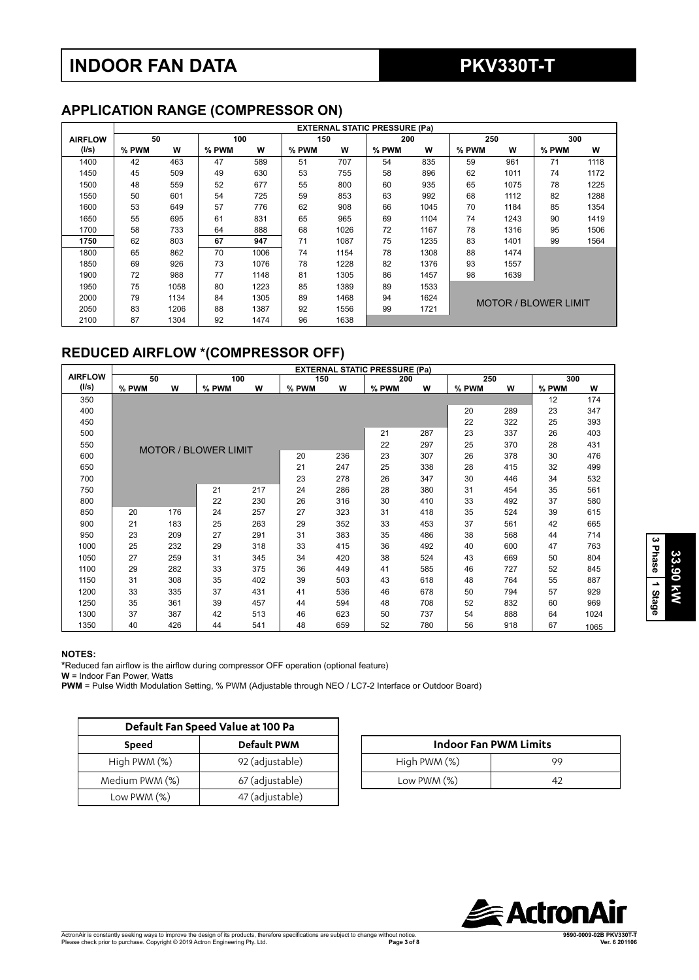# **INDOOR FAN DATA PKV330T-T**

# **APPLICATION RANGE (COMPRESSOR ON)**

|                | <b>EXTERNAL STATIC PRESSURE (Pa)</b> |      |       |      |       |      |       |      |                             |      |       |      |
|----------------|--------------------------------------|------|-------|------|-------|------|-------|------|-----------------------------|------|-------|------|
| <b>AIRFLOW</b> | 50                                   |      | 100   |      | 150   |      | 200   |      | 250                         |      | 300   |      |
| (1/s)          | % PWM                                | W    | % PWM | W    | % PWM | W    | % PWM | W    | % PWM                       | W    | % PWM | W    |
| 1400           | 42                                   | 463  | 47    | 589  | 51    | 707  | 54    | 835  | 59                          | 961  | 71    | 1118 |
| 1450           | 45                                   | 509  | 49    | 630  | 53    | 755  | 58    | 896  | 62                          | 1011 | 74    | 1172 |
| 1500           | 48                                   | 559  | 52    | 677  | 55    | 800  | 60    | 935  | 65                          | 1075 | 78    | 1225 |
| 1550           | 50                                   | 601  | 54    | 725  | 59    | 853  | 63    | 992  | 68                          | 1112 | 82    | 1288 |
| 1600           | 53                                   | 649  | 57    | 776  | 62    | 908  | 66    | 1045 | 70                          | 1184 | 85    | 1354 |
| 1650           | 55                                   | 695  | 61    | 831  | 65    | 965  | 69    | 1104 | 74                          | 1243 | 90    | 1419 |
| 1700           | 58                                   | 733  | 64    | 888  | 68    | 1026 | 72    | 1167 | 78                          | 1316 | 95    | 1506 |
| 1750           | 62                                   | 803  | 67    | 947  | 71    | 1087 | 75    | 1235 | 83                          | 1401 | 99    | 1564 |
| 1800           | 65                                   | 862  | 70    | 1006 | 74    | 1154 | 78    | 1308 | 88                          | 1474 |       |      |
| 1850           | 69                                   | 926  | 73    | 1076 | 78    | 1228 | 82    | 1376 | 93                          | 1557 |       |      |
| 1900           | 72                                   | 988  | 77    | 1148 | 81    | 1305 | 86    | 1457 | 98                          | 1639 |       |      |
| 1950           | 75                                   | 1058 | 80    | 1223 | 85    | 1389 | 89    | 1533 |                             |      |       |      |
| 2000           | 79                                   | 1134 | 84    | 1305 | 89    | 1468 | 94    | 1624 |                             |      |       |      |
| 2050           | 83                                   | 1206 | 88    | 1387 | 92    | 1556 | 99    | 1721 | <b>MOTOR / BLOWER LIMIT</b> |      |       |      |
| 2100           | 87                                   | 1304 | 92    | 1474 | 96    | 1638 |       |      |                             |      |       |      |

# **REDUCED AIRFLOW \*(COMPRESSOR OFF)**

|                |       |     |                             |     |       |     | <b>EXTERNAL STATIC PRESSURE (Pa)</b> |     |       |     |       |      |
|----------------|-------|-----|-----------------------------|-----|-------|-----|--------------------------------------|-----|-------|-----|-------|------|
| <b>AIRFLOW</b> | 50    |     | 100                         |     | 150   |     | 200                                  |     | 250   |     | 300   |      |
| (1/s)          | % PWM | W   | % PWM                       | w   | % PWM | W   | % PWM                                | W   | % PWM | w   | % PWM | W    |
| 350            |       |     |                             |     |       |     |                                      |     |       |     | 12    | 174  |
| 400            |       |     |                             |     |       |     |                                      |     | 20    | 289 | 23    | 347  |
| 450            |       |     |                             |     |       |     |                                      |     | 22    | 322 | 25    | 393  |
| 500            |       |     |                             |     |       |     | 21                                   | 287 | 23    | 337 | 26    | 403  |
| 550            |       |     | <b>MOTOR / BLOWER LIMIT</b> |     |       |     | 22                                   | 297 | 25    | 370 | 28    | 431  |
| 600            |       |     |                             |     | 20    | 236 | 23                                   | 307 | 26    | 378 | 30    | 476  |
| 650            |       |     |                             |     | 21    | 247 | 25                                   | 338 | 28    | 415 | 32    | 499  |
| 700            |       |     |                             |     | 23    | 278 | 26                                   | 347 | 30    | 446 | 34    | 532  |
| 750            |       |     | 21                          | 217 | 24    | 286 | 28                                   | 380 | 31    | 454 | 35    | 561  |
| 800            |       |     | 22                          | 230 | 26    | 316 | 30                                   | 410 | 33    | 492 | 37    | 580  |
| 850            | 20    | 176 | 24                          | 257 | 27    | 323 | 31                                   | 418 | 35    | 524 | 39    | 615  |
| 900            | 21    | 183 | 25                          | 263 | 29    | 352 | 33                                   | 453 | 37    | 561 | 42    | 665  |
| 950            | 23    | 209 | 27                          | 291 | 31    | 383 | 35                                   | 486 | 38    | 568 | 44    | 714  |
| 1000           | 25    | 232 | 29                          | 318 | 33    | 415 | 36                                   | 492 | 40    | 600 | 47    | 763  |
| 1050           | 27    | 259 | 31                          | 345 | 34    | 420 | 38                                   | 524 | 43    | 669 | 50    | 804  |
| 1100           | 29    | 282 | 33                          | 375 | 36    | 449 | 41                                   | 585 | 46    | 727 | 52    | 845  |
| 1150           | 31    | 308 | 35                          | 402 | 39    | 503 | 43                                   | 618 | 48    | 764 | 55    | 887  |
| 1200           | 33    | 335 | 37                          | 431 | 41    | 536 | 46                                   | 678 | 50    | 794 | 57    | 929  |
| 1250           | 35    | 361 | 39                          | 457 | 44    | 594 | 48                                   | 708 | 52    | 832 | 60    | 969  |
| 1300           | 37    | 387 | 42                          | 513 | 46    | 623 | 50                                   | 737 | 54    | 888 | 64    | 1024 |
| 1350           | 40    | 426 | 44                          | 541 | 48    | 659 | 52                                   | 780 | 56    | 918 | 67    | 1065 |

### **NOTES:**

**\***Reduced fan airflow is the airflow during compressor OFF operation (optional feature)

**W** = Indoor Fan Power, Watts

**PWM** = Pulse Width Modulation Setting, % PWM (Adjustable through NEO / LC7-2 Interface or Outdoor Board)

|                | Default Fan Speed Value at 100 Pa |                              |    |
|----------------|-----------------------------------|------------------------------|----|
| <b>Speed</b>   | <b>Default PWM</b>                | <b>Indoor Fan PWM Limits</b> |    |
| High PWM (%)   | 92 (adjustable)                   | High PWM (%)                 | 99 |
| Medium PWM (%) | 67 (adjustable)                   | Low PWM $(\%)$               | 42 |
| Low PWM $(\%)$ | 47 (adjustable)                   |                              |    |

| <b>Indoor Fan PWM Limits</b> |    |  |  |  |  |  |  |  |
|------------------------------|----|--|--|--|--|--|--|--|
| High PWM (%)                 | 99 |  |  |  |  |  |  |  |
| Low PWM $(\%)$               |    |  |  |  |  |  |  |  |

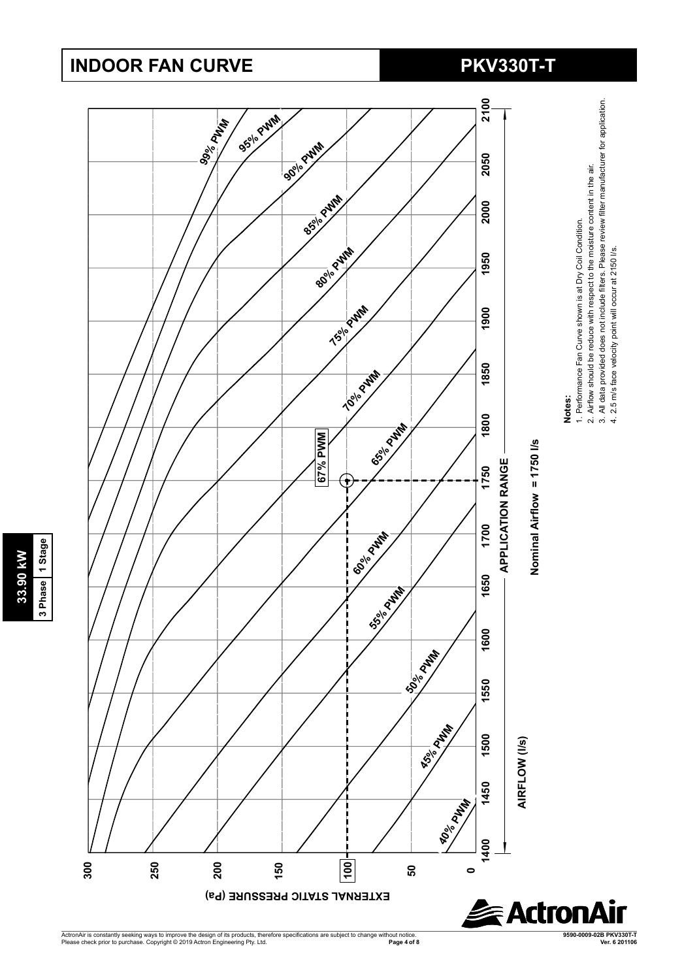# **INDOOR FAN CURVE PKV330T-T**

**33.90 kW 3 Phase 1 Stage**

3 Phase 1 Stage 33.90 kW



ActronAir is constantly seeking ways to improve the design of its products, therefore specifications are subject to change without notice.<br>Please check prior to purchase. Copyright © 2019 Actron Engineering Pty. Ltd. **Page 4 of 8 Ver. 6 201106** **9590-0009-02B PKV330T-T**

4. 2.5 m/s face velocity point will occur at 2150 l/s.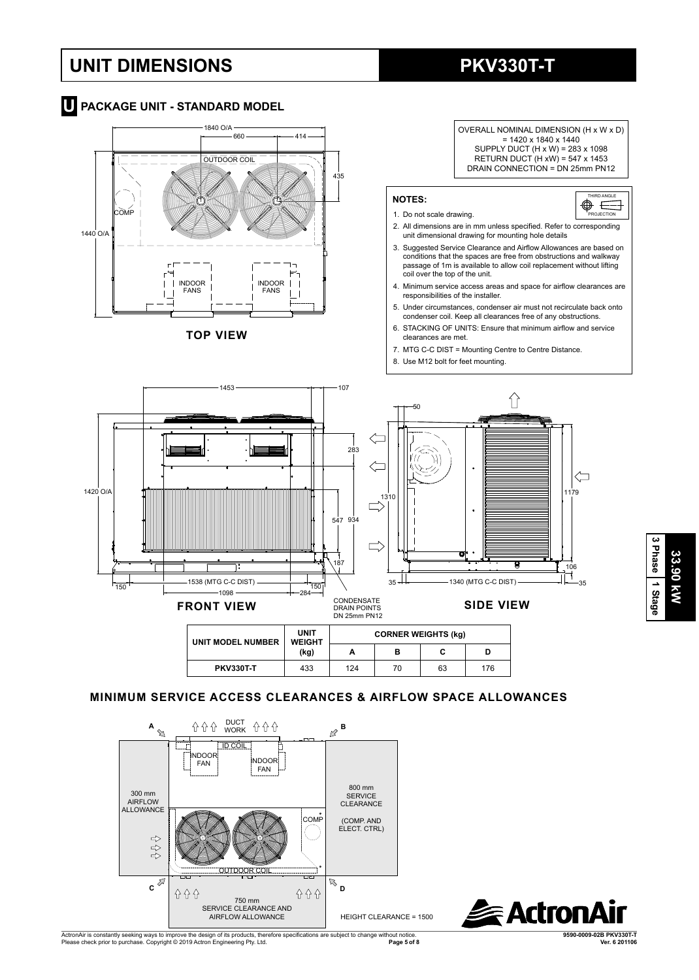# **UNIT DIMENSIONS PKV330T-T**



## **TOP VIEW**



OVERALL NOMINAL DIMENSION (H x W x D)

- condenser coil. Keep all clearances free of any obstructions. 6. STACKING OF UNITS: Ensure that minimum airflow and service
- clearances are met.
- 7. MTG C-C DIST = Mounting Centre to Centre Distance.
- 8. Use M12 bolt for feet mounting.



## **MINIMUM SERVICE ACCESS CLEARANCES & AIRFLOW SPACE ALLOWANCES**

**PKV330T-T** | 433 | 124 | 70 | 63 | 176





**3 Phase** Phase 1 Stage 33.90 KW **33.90 kW**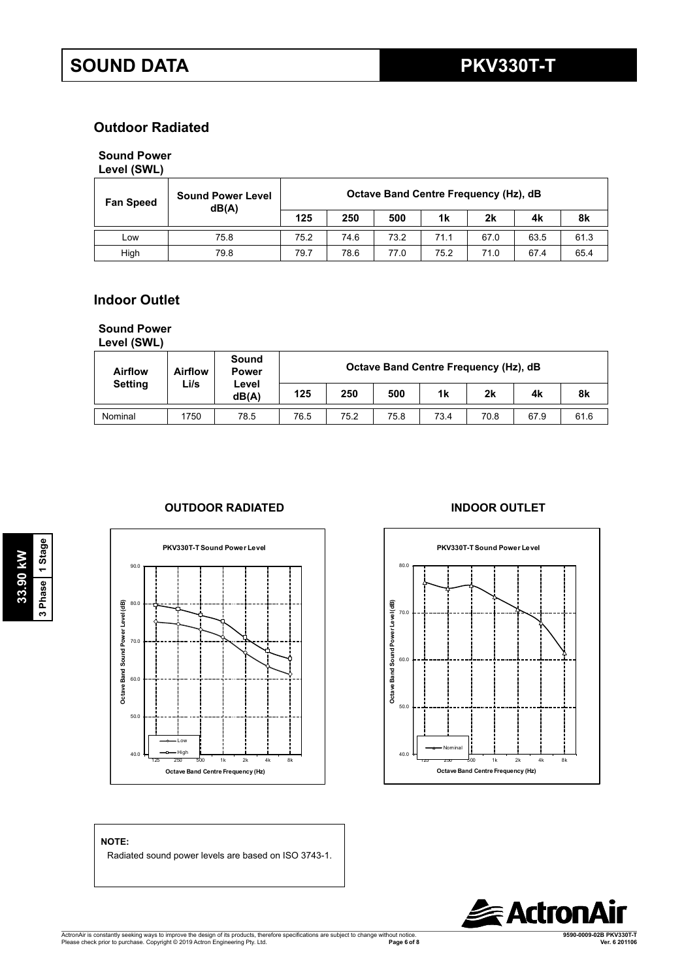# **Outdoor Radiated**

## **Sound Power**

## **Level (SWL)**

| <b>Sound Power Level</b><br><b>Fan Speed</b><br>dB(A) |      |      | Octave Band Centre Frequency (Hz), dB |      |      |      |      |      |  |  |  |  |
|-------------------------------------------------------|------|------|---------------------------------------|------|------|------|------|------|--|--|--|--|
|                                                       |      | 125  | 250                                   | 500  | 1k   | 2k   | 4k   | 8k   |  |  |  |  |
| Low                                                   | 75.8 | 75.2 | 74.6                                  | 73.2 | 71.1 | 67.0 | 63.5 | 61.3 |  |  |  |  |
| High                                                  | 79.8 | 79.7 | 78.6                                  | 77.0 | 75.2 | 71.0 | 67.4 | 65.4 |  |  |  |  |

# **Indoor Outlet**

# **Sound Power**

**Level (SWL)**

| <b>Airflow</b> | <b>Airflow</b> | Sound<br><b>Power</b> | Octave Band Centre Frequency (Hz), dB |      |      |      |      |      |      |
|----------------|----------------|-----------------------|---------------------------------------|------|------|------|------|------|------|
| <b>Setting</b> | ∟i/s           | Level<br>dB(A)        | 125                                   | 250  | 500  | 1k   | 2k   | 4k   | 8k   |
| Nominal        | 1750           | 78.5                  | 76.5                                  | 75.2 | 75.8 | 73.4 | 70.8 | 67.9 | 61.6 |

## **OUTDOOR RADIATED INDOOR OUTLET**





### **NOTE:**

**33.90 kW 3 Phase 1 Stage**

3 Phase 1 Stage 33.90 kW

Radiated sound power levels are based on ISO 3743-1.

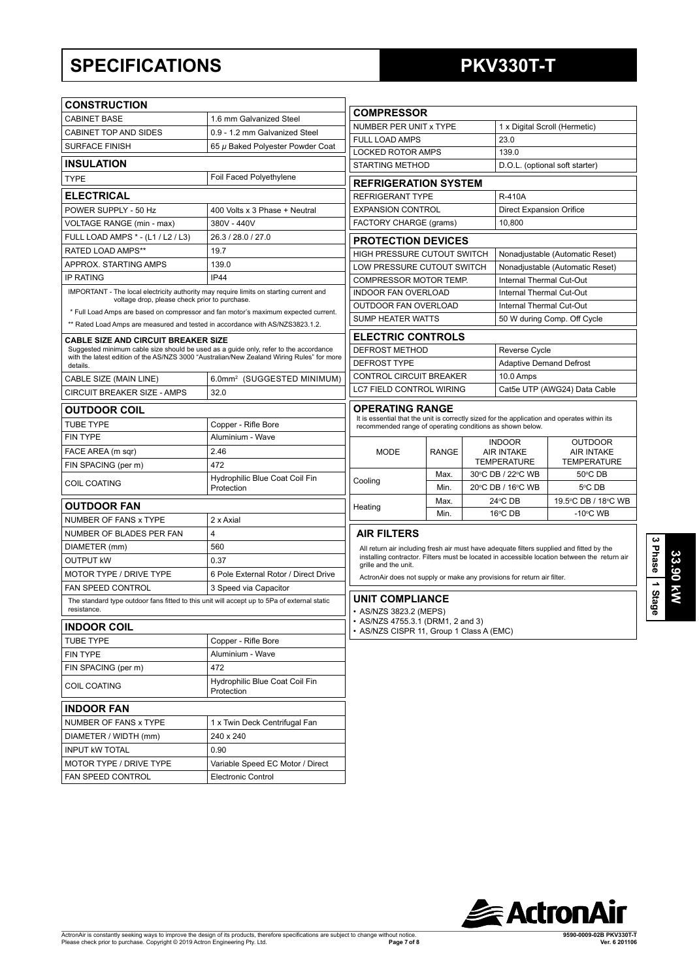# **SPECIFICATIONS PKV330T-T**

| <b>CONSTRUCTION</b>                                                                                                                     |                                                                                                                                                                                   |                                                                                                 |              |                                           |                                                                                              |
|-----------------------------------------------------------------------------------------------------------------------------------------|-----------------------------------------------------------------------------------------------------------------------------------------------------------------------------------|-------------------------------------------------------------------------------------------------|--------------|-------------------------------------------|----------------------------------------------------------------------------------------------|
| <b>CABINET BASE</b>                                                                                                                     | 1.6 mm Galvanized Steel                                                                                                                                                           | <b>COMPRESSOR</b>                                                                               |              |                                           |                                                                                              |
| <b>CABINET TOP AND SIDES</b>                                                                                                            | 0.9 - 1.2 mm Galvanized Steel                                                                                                                                                     | NUMBER PER UNIT x TYPE                                                                          |              |                                           | 1 x Digital Scroll (Hermetic)                                                                |
| <b>SURFACE FINISH</b>                                                                                                                   | 65 µ Baked Polyester Powder Coat                                                                                                                                                  | <b>FULL LOAD AMPS</b>                                                                           |              | 23.0                                      |                                                                                              |
| <b>INSULATION</b>                                                                                                                       |                                                                                                                                                                                   | <b>LOCKED ROTOR AMPS</b><br><b>STARTING METHOD</b>                                              |              | 139.0                                     | D.O.L. (optional soft starter)                                                               |
| <b>TYPE</b>                                                                                                                             | Foil Faced Polyethylene                                                                                                                                                           |                                                                                                 |              |                                           |                                                                                              |
|                                                                                                                                         |                                                                                                                                                                                   | <b>REFRIGERATION SYSTEM</b>                                                                     |              |                                           |                                                                                              |
| <b>ELECTRICAL</b>                                                                                                                       |                                                                                                                                                                                   | <b>REFRIGERANT TYPE</b>                                                                         |              | <b>R-410A</b>                             |                                                                                              |
| POWER SUPPLY - 50 Hz                                                                                                                    | 400 Volts x 3 Phase + Neutral                                                                                                                                                     | <b>EXPANSION CONTROL</b>                                                                        |              | <b>Direct Expansion Orifice</b><br>10.800 |                                                                                              |
| VOLTAGE RANGE (min - max)<br>FULL LOAD AMPS * - (L1 / L2 / L3)                                                                          | 380V - 440V<br>26.3 / 28.0 / 27.0                                                                                                                                                 | FACTORY CHARGE (grams)                                                                          |              |                                           |                                                                                              |
| RATED LOAD AMPS**                                                                                                                       |                                                                                                                                                                                   | <b>PROTECTION DEVICES</b>                                                                       |              |                                           |                                                                                              |
|                                                                                                                                         | 19.7                                                                                                                                                                              | HIGH PRESSURE CUTOUT SWITCH                                                                     |              |                                           | Nonadjustable (Automatic Reset)                                                              |
| APPROX. STARTING AMPS                                                                                                                   | 139.0<br><b>IP44</b>                                                                                                                                                              | LOW PRESSURE CUTOUT SWITCH                                                                      |              |                                           | Nonadjustable (Automatic Reset)                                                              |
| IP RATING                                                                                                                               |                                                                                                                                                                                   | COMPRESSOR MOTOR TEMP.                                                                          |              | Internal Thermal Cut-Out                  |                                                                                              |
| IMPORTANT - The local electricity authority may require limits on starting current and<br>voltage drop, please check prior to purchase. |                                                                                                                                                                                   | <b>INDOOR FAN OVERLOAD</b>                                                                      |              | Internal Thermal Cut-Out                  |                                                                                              |
|                                                                                                                                         | * Full Load Amps are based on compressor and fan motor's maximum expected current.                                                                                                | OUTDOOR FAN OVERLOAD                                                                            |              | Internal Thermal Cut-Out                  |                                                                                              |
| ** Rated Load Amps are measured and tested in accordance with AS/NZS3823.1.2.                                                           |                                                                                                                                                                                   | <b>SUMP HEATER WATTS</b>                                                                        |              |                                           | 50 W during Comp. Off Cycle                                                                  |
| <b>CABLE SIZE AND CIRCUIT BREAKER SIZE</b>                                                                                              |                                                                                                                                                                                   | <b>ELECTRIC CONTROLS</b>                                                                        |              |                                           |                                                                                              |
|                                                                                                                                         | Suggested minimum cable size should be used as a guide only, refer to the accordance<br>with the latest edition of the AS/NZS 3000 "Australian/New Zealand Wiring Rules" for more | DEFROST METHOD                                                                                  |              | Reverse Cycle                             |                                                                                              |
| details.                                                                                                                                |                                                                                                                                                                                   | <b>DEFROST TYPE</b>                                                                             |              | <b>Adaptive Demand Defrost</b>            |                                                                                              |
| CABLE SIZE (MAIN LINE)                                                                                                                  | 6.0mm <sup>2</sup> (SUGGESTED MINIMUM)                                                                                                                                            | CONTROL CIRCUIT BREAKER                                                                         |              | 10.0 Amps                                 |                                                                                              |
| CIRCUIT BREAKER SIZE - AMPS                                                                                                             | 32.0                                                                                                                                                                              | <b>LC7 FIELD CONTROL WIRING</b>                                                                 |              |                                           | Cat5e UTP (AWG24) Data Cable                                                                 |
| <b>OUTDOOR COIL</b>                                                                                                                     |                                                                                                                                                                                   | <b>OPERATING RANGE</b>                                                                          |              |                                           |                                                                                              |
| <b>TUBE TYPE</b>                                                                                                                        | Copper - Rifle Bore                                                                                                                                                               | recommended range of operating conditions as shown below.                                       |              |                                           | It is essential that the unit is correctly sized for the application and operates within its |
| <b>FIN TYPE</b>                                                                                                                         | Aluminium - Wave                                                                                                                                                                  |                                                                                                 |              | <b>INDOOR</b>                             | OUTDOOR                                                                                      |
| FACE AREA (m sqr)                                                                                                                       | 2.46                                                                                                                                                                              | <b>MODE</b>                                                                                     | <b>RANGE</b> | <b>AIR INTAKE</b>                         | <b>AIR INTAKE</b>                                                                            |
| FIN SPACING (per m)                                                                                                                     | 472                                                                                                                                                                               |                                                                                                 |              | <b>TEMPERATURE</b>                        | <b>TEMPERATURE</b>                                                                           |
| COIL COATING                                                                                                                            | Hydrophilic Blue Coat Coil Fin<br>Protection                                                                                                                                      | Cooling                                                                                         | Max.<br>Min. | 30°C DB / 22°C WB<br>20°C DB / 16°C WB    | 50°C DB<br>5°C DB                                                                            |
| OUTDOOR FAN                                                                                                                             |                                                                                                                                                                                   | Heating                                                                                         | Max.         | 24°C DB                                   | 19.5°C DB / 18°C WB                                                                          |
| NUMBER OF FANS x TYPE                                                                                                                   | 2 x Axial                                                                                                                                                                         |                                                                                                 | Min.         | 16°C DB                                   | $-10^{\circ}$ C WB                                                                           |
| NUMBER OF BLADES PER FAN                                                                                                                | 4                                                                                                                                                                                 | <b>AIR FILTERS</b>                                                                              |              |                                           |                                                                                              |
| DIAMETER (mm)                                                                                                                           | 560                                                                                                                                                                               |                                                                                                 |              |                                           | All return air including fresh air must have adequate filters supplied and fitted by the     |
| <b>OUTPUT KW</b>                                                                                                                        | 0.37                                                                                                                                                                              |                                                                                                 |              |                                           | installing contractor. Filters must be located in accessible location between the return air |
| <b>MOTOR TYPE / DRIVE TYPE</b>                                                                                                          | 6 Pole External Rotor / Direct Drive                                                                                                                                              | grille and the unit.<br>ActronAir does not supply or make any provisions for return air filter. |              |                                           |                                                                                              |
| FAN SPEED CONTROL                                                                                                                       | 3 Speed via Capacitor                                                                                                                                                             |                                                                                                 |              |                                           |                                                                                              |
| The standard type outdoor fans fitted to this unit will accept up to 5Pa of external static<br>resistance.                              |                                                                                                                                                                                   | <b>UNIT COMPLIANCE</b><br>• AS/NZS 3823.2 (MEPS)                                                |              |                                           |                                                                                              |
| <b>INDOOR COIL</b>                                                                                                                      |                                                                                                                                                                                   | • AS/NZS 4755.3.1 (DRM1, 2 and 3)<br>• AS/NZS CISPR 11, Group 1 Class A (EMC)                   |              |                                           |                                                                                              |
| TUBE TYPE                                                                                                                               | Copper - Rifle Bore                                                                                                                                                               |                                                                                                 |              |                                           |                                                                                              |
| FIN TYPE                                                                                                                                | Aluminium - Wave                                                                                                                                                                  |                                                                                                 |              |                                           |                                                                                              |
| FIN SPACING (per m)                                                                                                                     | 472                                                                                                                                                                               |                                                                                                 |              |                                           |                                                                                              |
| COIL COATING                                                                                                                            | Hydrophilic Blue Coat Coil Fin<br>Protection                                                                                                                                      |                                                                                                 |              |                                           |                                                                                              |
| <b>INDOOR FAN</b>                                                                                                                       |                                                                                                                                                                                   |                                                                                                 |              |                                           |                                                                                              |
| NUMBER OF FANS x TYPE                                                                                                                   | 1 x Twin Deck Centrifugal Fan                                                                                                                                                     |                                                                                                 |              |                                           |                                                                                              |
| DIAMETER / WIDTH (mm)                                                                                                                   | 240 x 240                                                                                                                                                                         |                                                                                                 |              |                                           |                                                                                              |
| <b>INPUT KW TOTAL</b>                                                                                                                   | 0.90                                                                                                                                                                              |                                                                                                 |              |                                           |                                                                                              |
| MOTOR TYPE / DRIVE TYPE                                                                                                                 | Variable Speed EC Motor / Direct                                                                                                                                                  |                                                                                                 |              |                                           |                                                                                              |
| FAN SPEED CONTROL                                                                                                                       | <b>Electronic Control</b>                                                                                                                                                         |                                                                                                 |              |                                           |                                                                                              |
|                                                                                                                                         |                                                                                                                                                                                   |                                                                                                 |              |                                           |                                                                                              |



**3 Phase**